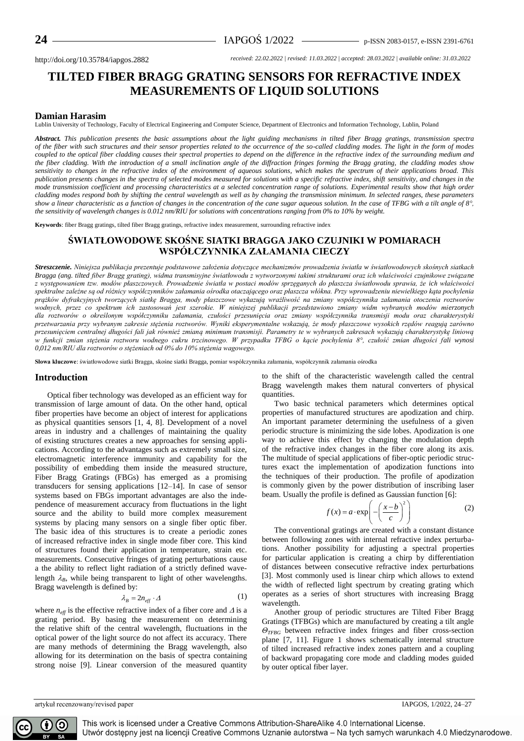# **TILTED FIBER BRAGG GRATING SENSORS FOR REFRACTIVE INDEX MEASUREMENTS OF LIQUID SOLUTIONS**

## **Damian Harasim**

Lublin University of Technology, Faculty of Electrical Engineering and Computer Science, Department of Electronics and Information Technology, Lublin, Poland

*Abstract. This publication presents the basic assumptions about the light guiding mechanisms in tilted fiber Bragg gratings, transmission spectra of the fiber with such structures and their sensor properties related to the occurrence of the so-called cladding modes. The light in the form of modes coupled to the optical fiber cladding causes their spectral properties to depend on the difference in the refractive index of the surrounding medium and the fiber cladding. With the introduction of a small inclination angle of the diffraction fringes forming the Bragg grating, the cladding modes show sensitivity to changes in the refractive index of the environment of aqueous solutions, which makes the spectrum of their applications broad. This publication presents changes in the spectra of selected modes measured for solutions with a specific refractive index, shift sensitivity, and changes in the mode transmission coefficient and processing characteristics at a selected concentration range of solutions. Experimental results show that high order cladding modes respond both by shifting the central wavelength as well as by changing the transmission minimum. In selected ranges, these parameters show a linear characteristic as a function of changes in the concentration of the cane sugar aqueous solution. In the case of TFBG with a tilt angle of 8°, the sensitivity of wavelength changes is 0.012 nm/RIU for solutions with concentrations ranging from 0% to 10% by weight.*

**Keywords**: fiber Bragg gratings, tilted fiber Bragg gratings, refractive index measurement, surrounding refractive index

# **ŚWIATŁOWODOWE SKOŚNE SIATKI BRAGGA JAKO CZUJNIKI W POMIARACH WSPÓŁCZYNNIKA ZAŁAMANIA CIECZY**

*Streszczenie. Niniejsza publikacja prezentuje podstawowe założenia dotyczące mechanizmów prowadzenia światła w światłowodowych skośnych siatkach Bragga (ang. tilted fiber Bragg grating), widma transmisyjne światłowodu z wytworzonymi takimi strukturami oraz ich właściwości czujnikowe związane z występowaniem tzw. modów płaszczowych. Prowadzenie światła w postaci modów sprzęganych do płaszcza światłowodu sprawia, że ich właściwości spektralne zależne są od różnicy współczynników załamania ośrodka otaczającego oraz płaszcza włókna. Przy wprowadzeniu niewielkiego kąta pochylenia prążków dyfrakcyjnych tworzących siatkę Bragga, mody płaszczowe wykazują wrażliwość na zmiany współczynnika załamania otoczenia roztworów wodnych, przez co spektrum ich zastosowań jest szerokie. W niniejszej publikacji przedstawiono zmiany widm wybranych modów mierzonych dla roztworów o określonym współczynniku załamania, czułości przesunięcia oraz zmiany współczynnika transmisji modu oraz charakterystyki przetwarzania przy wybranym zakresie stężenia roztworów. Wyniki eksperymentalne wskazują, że mody płaszczowe wysokich rzędów reagują zarówno przesunięciem centralnej długości fali jak również zmianą minimum transmisji. Parametry te w wybranych zakresach wykazują charakterystykę liniową w funkcji zmian stężenia roztworu wodnego cukru trzcinowego. W przypadku TFBG o kącie pochylenia 8°, czułość zmian długości fali wynosi 0,012 nm/RIU dla roztworów o stężeniach od 0% do 10% stężenia wagowego.*

**Słowa kluczowe**: światłowodowe siatki Bragga, skośne siatki Bragga, pomiar współczynnika załamania, współczynnik załamania ośrodka

### **Introduction**

Optical fiber technology was developed as an efficient way for transmission of large amount of data. On the other hand, optical fiber properties have become an object of interest for applications as physical quantities sensors [1, 4, 8]. Development of a novel areas in industry and a challenges of maintaining the quality of existing structures creates a new approaches for sensing applications. According to the advantages such as extremely small size, electromagnetic interference immunity and capability for the possibility of embedding them inside the measured structure, Fiber Bragg Gratings (FBGs) has emerged as a promising transducers for sensing applications [12–14]. In case of sensor systems based on FBGs important advantages are also the independence of measurement accuracy from fluctuations in the light source and the ability to build more complex measurement systems by placing many sensors on a single fiber optic fiber. The basic idea of this structures is to create a periodic zones of increased refractive index in single mode fiber core. This kind of structures found their application in temperature, strain etc. measurements. Consecutive fringes of grating perturbations cause a the ability to reflect light radiation of a strictly defined wavelength  $\lambda_B$ , while being transparent to light of other wavelengths. Bragg wavelength is defined by:

$$
\lambda_B = 2n_{\text{eff}} \cdot \Delta \tag{1}
$$

where  $n_{\text{eff}}$  is the effective refractive index of a fiber core and  $\Delta$  is a grating period. By basing the measurement on determining the relative shift of the central wavelength, fluctuations in the optical power of the light source do not affect its accuracy. There are many methods of determining the Bragg wavelength, also allowing for its determination on the basis of spectra containing strong noise [9]. Linear conversion of the measured quantity to the shift of the characteristic wavelength called the central Bragg wavelength makes them natural converters of physical quantities.

Two basic technical parameters which determines optical properties of manufactured structures are apodization and chirp. An important parameter determining the usefulness of a given periodic structure is minimizing the side lobes. Apodization is one way to achieve this effect by changing the modulation depth of the refractive index changes in the fiber core along its axis. The multitude of special applications of fiber-optic periodic structures exact the implementation of apodization functions into the techniques of their production. The profile of apodization is commonly given by the power distribution of inscribing laser

beam. Usually the profile is defined as Gaussian function [6]:  

$$
f(x) = a \cdot \exp\left(-\left(\frac{x-b}{c}\right)^2\right)
$$
(2)

The conventional gratings are created with a constant distance between following zones with internal refractive index perturbations. Another possibility for adjusting a spectral properties for particular application is creating a chirp by differentiation of distances between consecutive refractive index perturbations [3]. Most commonly used is linear chirp which allows to extend the width of reflected light spectrum by creating grating which operates as a series of short structures with increasing Bragg wavelength.

Another group of periodic structures are Tilted Fiber Bragg Gratings (TFBGs) which are manufactured by creating a tilt angle *ΘTFBG* between refractive index fringes and fiber cross-section plane [7, 11]. Figure 1 shows schematically internal structure of tilted increased refractive index zones pattern and a coupling of backward propagating core mode and cladding modes guided by outer optical fiber layer.



This work is licensed under a Creative Commons Attribution-ShareAlike 4.0 International License. Utwór dostępny jest na licencji Creative Commons Uznanie autorstwa – Na tych samych warunkach 4.0 Miedzynarodowe.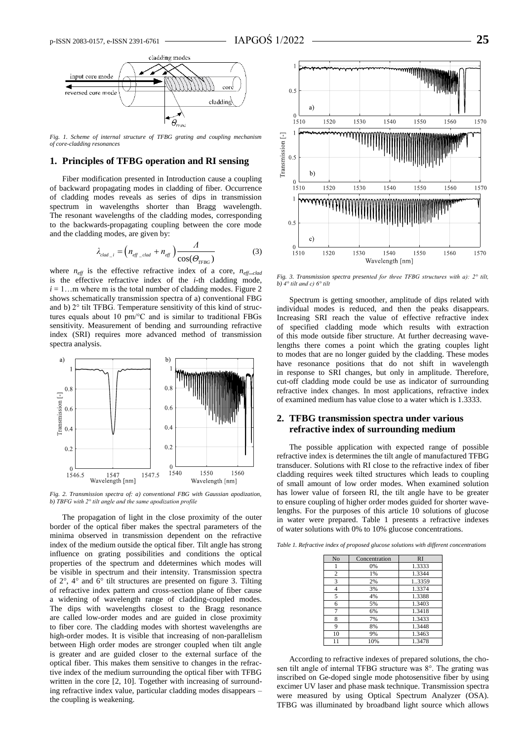

*Fig. 1. Scheme of internal structure of TFBG grating and coupling mechanism of core-cladding resonances*

# **1. Principles of TFBG operation and RI sensing**

Fiber modification presented in Introduction cause a coupling of backward propagating modes in cladding of fiber. Occurrence of cladding modes reveals as series of dips in transmission spectrum in wavelengths shorter than Bragg wavelength. The resonant wavelengths of the cladding modes, corresponding to the backwards-propagating coupling between the core mode and the cladding modes, are given by:

$$
\lambda_{\text{clad}\_{i}} = \left(n_{\text{eff}\_{\text{clad}}} + n_{\text{eff}}\right) \frac{\Lambda}{\cos(\Theta_{\text{TFBG}})}\tag{3}
$$

where  $n_{\text{eff}}$  is the effective refractive index of a core,  $n_{\text{eff}-\text{clad}}$ is the effective refractive index of the *i*-th cladding mode,  $i = 1...$ m where m is the total number of cladding modes. Figure 2 shows schematically transmission spectra of a) conventional FBG and b) 2° tilt TFBG. Temperature sensitivity of this kind of structures equals about 10 pm/°C and is similar to traditional FBGs sensitivity. Measurement of bending and surrounding refractive index (SRI) requires more advanced method of transmission spectra analysis.



*Fig. 2. Transmission spectra of: a) conventional FBG with Gaussian apodization, b) TBFG with 2° tilt angle and the same apodization profile*

The propagation of light in the close proximity of the outer border of the optical fiber makes the spectral parameters of the minima observed in transmission dependent on the refractive index of the medium outside the optical fiber. Tilt angle has strong influence on grating possibilities and conditions the optical properties of the spectrum and ddetermines which modes will be visible in spectrum and their intensity. Transmission spectra of 2°, 4° and 6° tilt structures are presented on figure 3. Tilting of refractive index pattern and cross-section plane of fiber cause a widening of wavelength range of cladding-coupled modes. The dips with wavelengths closest to the Bragg resonance are called low-order modes and are guided in close proximity to fiber core. The cladding modes with shortest wavelengths are high-order modes. It is visible that increasing of non-parallelism between High order modes are stronger coupled when tilt angle is greater and are guided closer to the external surface of the optical fiber. This makes them sensitive to changes in the refractive index of the medium surrounding the optical fiber with TFBG written in the core [2, 10]. Together with increasing of surrounding refractive index value, particular cladding modes disappears – the coupling is weakening.



*Fig. 3. Transmission spectra presented for three TFBG structures with a): 2° tilt, b) 4° tilt and c) 6° tilt*

Spectrum is getting smoother, amplitude of dips related with individual modes is reduced, and then the peaks disappears. Increasing SRI reach the value of effective refractive index of specified cladding mode which results with extraction of this mode outside fiber structure. At further decreasing wavelengths there comes a point which the grating couples light to modes that are no longer guided by the cladding. These modes have resonance positions that do not shift in wavelength in response to SRI changes, but only in amplitude. Therefore, cut-off cladding mode could be use as indicator of surrounding refractive index changes. In most applications, refractive index of examined medium has value close to a water which is 1.3333.

#### **2. TFBG transmission spectra under various refractive index of surrounding medium**

The possible application with expected range of possible refractive index is determines the tilt angle of manufactured TFBG transducer. Solutions with RI close to the refractive index of fiber cladding requires week tilted structures which leads to coupling of small amount of low order modes. When examined solution has lower value of forseen RI, the tilt angle have to be greater to ensure coupling of higher order modes guided for shorter wavelengths. For the purposes of this article 10 solutions of glucose in water were prepared. Table 1 presents a refractive indexes of water solutions with 0% to 10% glucose concentrations.

*Table 1. Refractive index of proposed glucose solutions with different concentrations*

| N <sub>o</sub> | Concentration | RI     |
|----------------|---------------|--------|
|                | 0%            | 1.3333 |
| $\overline{c}$ | 1%            | 1.3344 |
| 3              | 2%            | 1.3359 |
| 4              | 3%            | 1.3374 |
| 5              | 4%            | 1.3388 |
| 6              | 5%            | 1.3403 |
| 7              | 6%            | 1.3418 |
| 8              | 7%            | 1.3433 |
| 9              | 8%            | 1.3448 |
| 10             | 9%            | 1.3463 |
|                | 10%           | 1.3478 |

According to refractive indexes of prepared solutions, the chosen tilt angle of internal TFBG structure was 8°. The grating was inscribed on Ge-doped single mode photosensitive fiber by using excimer UV laser and phase mask technique. Transmission spectra were measured by using Optical Spectrum Analyzer (OSA). TFBG was illuminated by broadband light source which allows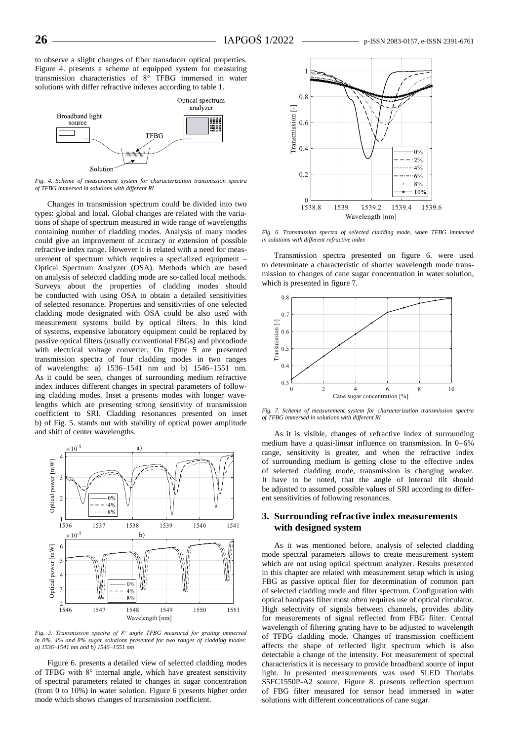to observe a slight changes of fiber transducer optical properties. Figure 4. presents a scheme of equipped system for measuring transmission characteristics of 8° TFBG immersed in water solutions with differ refractive indexes according to table 1.



*Fig. 4. Scheme of measurement system for characterization transmission spectra of TFBG immersed in solutions with different RI*

Changes in transmission spectrum could be divided into two types: global and local. Global changes are related with the variations of shape of spectrum measured in wide range of wavelengths containing number of cladding modes. Analysis of many modes could give an improvement of accuracy or extension of possible refractive index range. However it is related with a need for measurement of spectrum which requires a specialized equipment – Optical Spectrum Analyzer (OSA). Methods which are based on analysis of selected cladding mode are so-called local methods. Surveys about the properties of cladding modes should be conducted with using OSA to obtain a detailed sensitivities of selected resonance. Properties and sensitivities of one selected cladding mode designated with OSA could be also used with measurement systems build by optical filters. In this kind of systems, expensive laboratory equipment could be replaced by passive optical filters (usually conventional FBGs) and photodiode with electrical voltage converter. On figure 5 are presented transmission spectra of four cladding modes in two ranges of wavelengths: a) 1536–1541 nm and b) 1546–1551 nm. As it could be seen, changes of surrounding medium refractive index induces different changes in spectral parameters of following cladding modes. Inset a presents modes with longer wavelengths which are presenting strong sensitivity of transmission coefficient to SRI. Cladding resonances presented on inset b) of Fig. 5. stands out with stability of optical power amplitude and shift of center wavelengths.



*Fig. 5. Transmission spectra of 8° angle TFBG measured for grating immersed in 0%, 4% and 8% sugar solutions presented for two ranges of cladding modes: a) 1536–1541 nm and b) 1546–1551 nm*

Figure 6. presents a detailed view of selected cladding modes of TFBG with 8° internal angle, which have greatest sensitivity of spectral parameters related to changes in sugar concentration (from 0 to 10%) in water solution. Figure 6 presents higher order mode which shows changes of transmission coefficient.



*Fig. 6. Transmission spectra of selected cladding mode, when TFBG immersed in solutions with different refractive index*

Transmission spectra presented on figure 6. were used to determinate a characteristic of shorter wavelength mode transmission to changes of cane sugar concentration in water solution, which is presented in figure 7.



*Fig. 7. Scheme of measurement system for characterization transmission spectra of TFBG immersed in solutions with different RI*

As it is visible, changes of refractive index of surrounding medium have a quasi-linear influence on transmission. In  $0-6\%$ range, sensitivity is greater, and when the refractive index of surrounding medium is getting close to the effective index of selected cladding mode, transmission is changing weaker. It have to be noted, that the angle of internal tilt should be adjusted to assumed possible values of SRI according to different sensitivities of following resonances.

# **3. Surrounding refractive index measurements with designed system**

As it was mentioned before, analysis of selected cladding mode spectral parameters allows to create measurement system which are not using optical spectrum analyzer. Results presented in this chapter are related with measurement setup which is using FBG as passive optical filer for determination of common part of selected cladding mode and filter spectrum. Configuration with optical bandpass filter most often requires use of optical circulator. High selectivity of signals between channels, provides ability for measurements of signal reflected from FBG filter. Central wavelength of filtering grating have to be adjusted to wavelength of TFBG cladding mode. Changes of transmission coefficient affects the shape of reflected light spectrum which is also detectable a change of the intensity. For measurement of spectral characteristics it is necessary to provide broadband source of input light. In presented measurements was used SLED Thorlabs S5FC1550P-A2 source. Figure 8. presents reflection spectrum of FBG filter measured for sensor head immersed in water solutions with different concentrations of cane sugar.